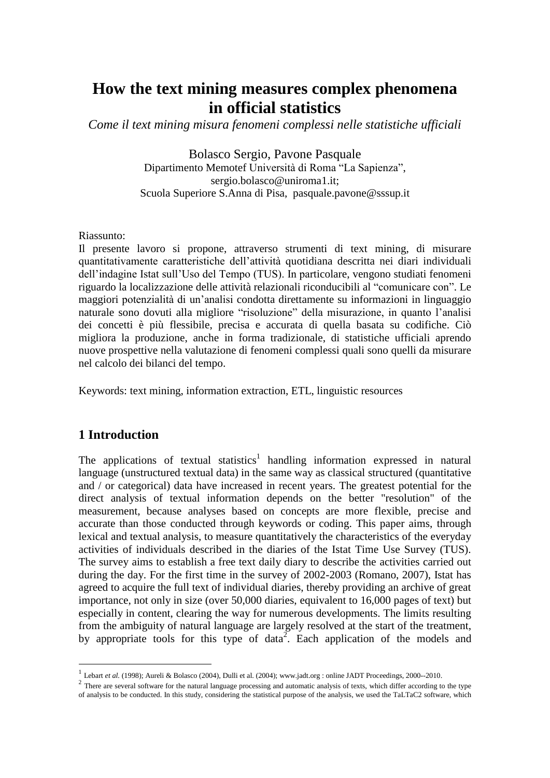# **How the text mining measures complex phenomena in official statistics**

*Come il text mining misura fenomeni complessi nelle statistiche ufficiali*

Bolasco Sergio, Pavone Pasquale Dipartimento Memotef Università di Roma "La Sapienza", sergio.bolasco@uniroma1.it; Scuola Superiore S.Anna di Pisa, [pasquale.pavone@sssup.it](mailto:pasquale.pavone@sssup.it)

#### Riassunto:

Il presente lavoro si propone, attraverso strumenti di text mining, di misurare quantitativamente caratteristiche dell'attività quotidiana descritta nei diari individuali dell'indagine Istat sull'Uso del Tempo (TUS). In particolare, vengono studiati fenomeni riguardo la localizzazione delle attività relazionali riconducibili al "comunicare con". Le maggiori potenzialità di un'analisi condotta direttamente su informazioni in linguaggio naturale sono dovuti alla migliore "risoluzione" della misurazione, in quanto l'analisi dei concetti è più flessibile, precisa e accurata di quella basata su codifiche. Ciò migliora la produzione, anche in forma tradizionale, di statistiche ufficiali aprendo nuove prospettive nella valutazione di fenomeni complessi quali sono quelli da misurare nel calcolo dei bilanci del tempo.

Keywords: text mining, information extraction, ETL, linguistic resources

## **1 Introduction**

1

The applications of textual statistics<sup>1</sup> handling information expressed in natural language (unstructured textual data) in the same way as classical structured (quantitative and / or categorical) data have increased in recent years. The greatest potential for the direct analysis of textual information depends on the better "resolution" of the measurement, because analyses based on concepts are more flexible, precise and accurate than those conducted through keywords or coding. This paper aims, through lexical and textual analysis, to measure quantitatively the characteristics of the everyday activities of individuals described in the diaries of the Istat Time Use Survey (TUS). The survey aims to establish a free text daily diary to describe the activities carried out during the day. For the first time in the survey of 2002-2003 (Romano, 2007), Istat has agreed to acquire the full text of individual diaries, thereby providing an archive of great importance, not only in size (over 50,000 diaries, equivalent to 16,000 pages of text) but especially in content, clearing the way for numerous developments. The limits resulting from the ambiguity of natural language are largely resolved at the start of the treatment, by appropriate tools for this type of data<sup>2</sup>. Each application of the models and

<sup>&</sup>lt;sup>1</sup> Lebart *et al.* (1998); Aureli & Bolasco (2004), Dulli et al. (2004)[; www.jadt.org](http://www.jadt.org/) : online JADT Proceedings, 2000--2010.

 $2$  There are several software for the natural language processing and automatic analysis of texts, which differ according to the type of analysis to be conducted. In this study, considering the statistical purpose of the analysis, we used the TaLTaC2 software, which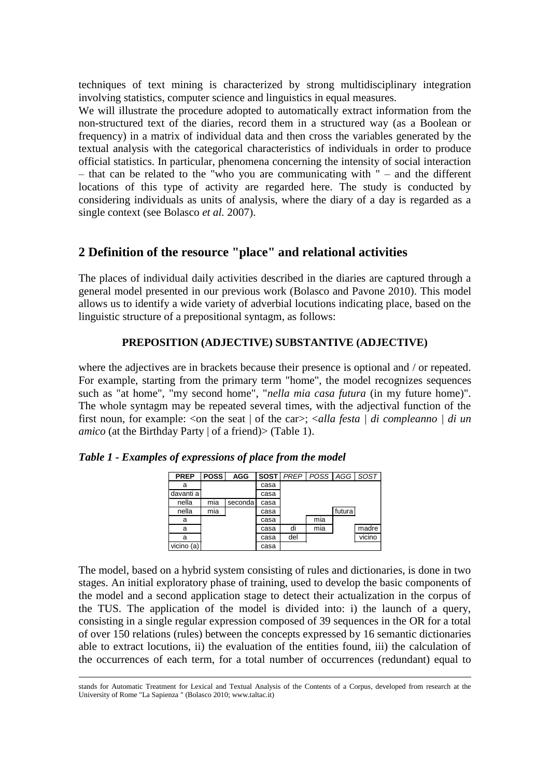techniques of text mining is characterized by strong multidisciplinary integration involving statistics, computer science and linguistics in equal measures.

We will illustrate the procedure adopted to automatically extract information from the non-structured text of the diaries, record them in a structured way (as a Boolean or frequency) in a matrix of individual data and then cross the variables generated by the textual analysis with the categorical characteristics of individuals in order to produce official statistics. In particular, phenomena concerning the intensity of social interaction – that can be related to the "who you are communicating with " – and the different locations of this type of activity are regarded here. The study is conducted by considering individuals as units of analysis, where the diary of a day is regarded as a single context (see Bolasco *et al.* 2007).

# **2 Definition of the resource "place" and relational activities**

The places of individual daily activities described in the diaries are captured through a general model presented in our previous work (Bolasco and Pavone 2010). This model allows us to identify a wide variety of adverbial locutions indicating place, based on the linguistic structure of a prepositional syntagm, as follows:

## **PREPOSITION (ADJECTIVE) SUBSTANTIVE (ADJECTIVE)**

where the adjectives are in brackets because their presence is optional and / or repeated. For example, starting from the primary term "home", the model recognizes sequences such as "at home", "my second home", "*nella mia casa futura* (in my future home)". The whole syntagm may be repeated several times, with the adjectival function of the first noun, for example: <on the seat | of the car>; <*alla festa | di compleanno | di un amico* (at the Birthday Party | of a friend) > (Table 1).

| <b>PREP</b> | <b>POSS</b> | <b>AGG</b> |      | <b>SOST</b> PREP | POSS AGG SOST |        |        |
|-------------|-------------|------------|------|------------------|---------------|--------|--------|
| а           |             |            | casa |                  |               |        |        |
| davanti a   |             |            | casa |                  |               |        |        |
| nella       | mia         | seconda    | casa |                  |               |        |        |
| nella       | mia         |            | casa |                  |               | futura |        |
| a           |             |            | casa |                  | mia           |        |        |
| а           |             |            | casa | di               | mia           |        | madre  |
| а           |             |            | casa | del              |               |        | vicino |
| vicino (a)  |             |            | casa |                  |               |        |        |

*Table 1 - Examples of expressions of place from the model*

1

The model, based on a hybrid system consisting of rules and dictionaries, is done in two stages. An initial exploratory phase of training, used to develop the basic components of the model and a second application stage to detect their actualization in the corpus of the TUS. The application of the model is divided into: i) the launch of a query, consisting in a single regular expression composed of 39 sequences in the OR for a total of over 150 relations (rules) between the concepts expressed by 16 semantic dictionaries able to extract locutions, ii) the evaluation of the entities found, iii) the calculation of the occurrences of each term, for a total number of occurrences (redundant) equal to

stands for Automatic Treatment for Lexical and Textual Analysis of the Contents of a Corpus, developed from research at the University of Rome "La Sapienza " (Bolasco 2010; www.taltac.it)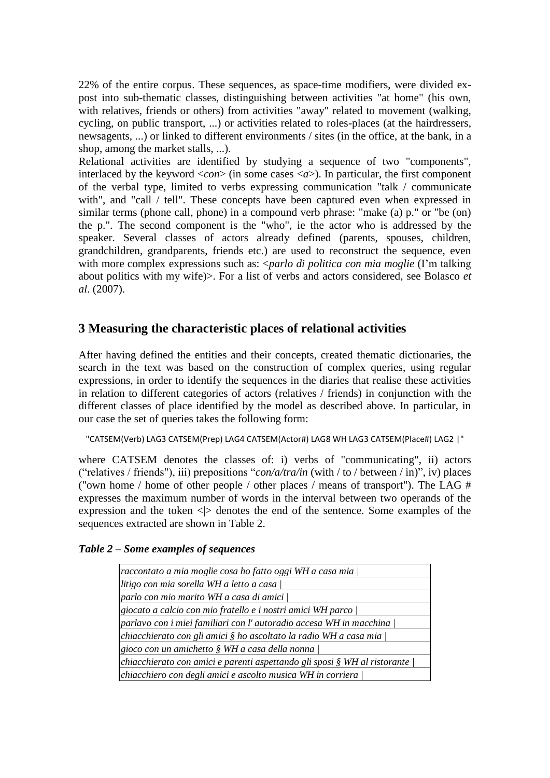22% of the entire corpus. These sequences, as space-time modifiers, were divided expost into sub-thematic classes, distinguishing between activities "at home" (his own, with relatives, friends or others) from activities "away" related to movement (walking, cycling, on public transport, ...) or activities related to roles-places (at the hairdressers, newsagents, ...) or linked to different environments / sites (in the office, at the bank, in a shop, among the market stalls, ...).

Relational activities are identified by studying a sequence of two "components", interlaced by the keyword  $\langle con \rangle$  (in some cases  $\langle a \rangle$ ). In particular, the first component of the verbal type, limited to verbs expressing communication "talk / communicate with", and "call / tell". These concepts have been captured even when expressed in similar terms (phone call, phone) in a compound verb phrase: "make (a) p." or "be (on) the p.". The second component is the "who", ie the actor who is addressed by the speaker. Several classes of actors already defined (parents, spouses, children, grandchildren, grandparents, friends etc.) are used to reconstruct the sequence, even with more complex expressions such as: <*parlo di politica con mia moglie* (I'm talking about politics with my wife)>. For a list of verbs and actors considered, see Bolasco *et al*. (2007).

# **3 Measuring the characteristic places of relational activities**

After having defined the entities and their concepts, created thematic dictionaries, the search in the text was based on the construction of complex queries, using regular expressions, in order to identify the sequences in the diaries that realise these activities in relation to different categories of actors (relatives / friends) in conjunction with the different classes of place identified by the model as described above. In particular, in our case the set of queries takes the following form:

"CATSEM(Verb) LAG3 CATSEM(Prep) LAG4 CATSEM(Actor#) LAG8 WH LAG3 CATSEM(Place#) LAG2 |"

where CATSEM denotes the classes of: i) verbs of "communicating", ii) actors ("relatives / friends"), iii) prepositions "*con/a/tra/in* (with / to / between / in)", iv) places ("own home / home of other people / other places / means of transport"). The LAG # expresses the maximum number of words in the interval between two operands of the expression and the token  $\langle \rangle$  denotes the end of the sentence. Some examples of the sequences extracted are shown in Table 2.

#### *Table 2 – Some examples of sequences*